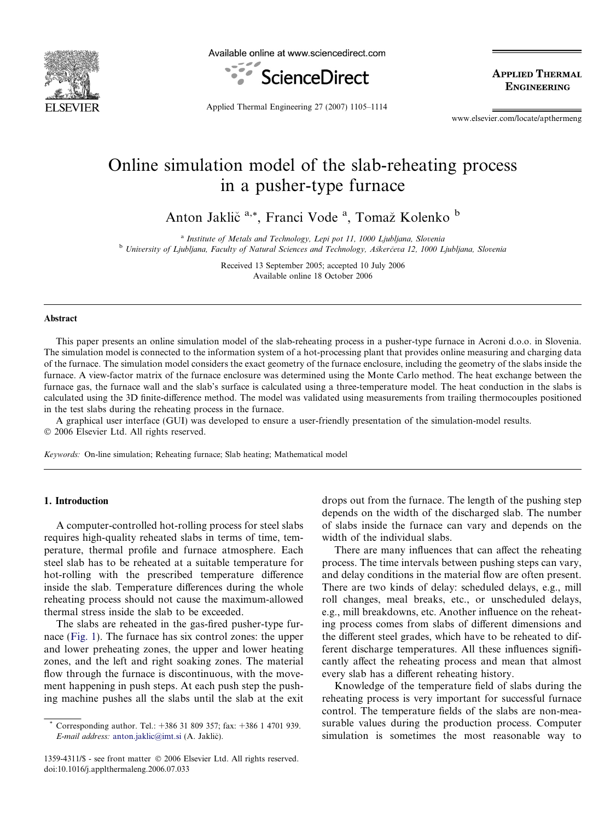

Available online at www.sciencedirect.com



**APPLIED THERMAL ENGINEERING** 

Applied Thermal Engineering 27 (2007) 1105–1114

www.elsevier.com/locate/apthermeng

## Online simulation model of the slab-reheating process in a pusher-type furnace

Anton Jaklič<sup>a,\*</sup>, Franci Vode<sup>a</sup>, Tomaž Kolenko <sup>b</sup>

<sup>a</sup> Institute of Metals and Technology, Lepi pot 11, 1000 Ljubljana, Slovenia <sup>b</sup> University of Ljubljana, Faculty of Natural Sciences and Technology, Aškerčeva 12, 1000 Ljubljana, Slovenia

> Received 13 September 2005; accepted 10 July 2006 Available online 18 October 2006

## Abstract

This paper presents an online simulation model of the slab-reheating process in a pusher-type furnace in Acroni d.o.o. in Slovenia. The simulation model is connected to the information system of a hot-processing plant that provides online measuring and charging data of the furnace. The simulation model considers the exact geometry of the furnace enclosure, including the geometry of the slabs inside the furnace. A view-factor matrix of the furnace enclosure was determined using the Monte Carlo method. The heat exchange between the furnace gas, the furnace wall and the slab's surface is calculated using a three-temperature model. The heat conduction in the slabs is calculated using the 3D finite-difference method. The model was validated using measurements from trailing thermocouples positioned in the test slabs during the reheating process in the furnace.

A graphical user interface (GUI) was developed to ensure a user-friendly presentation of the simulation-model results.  $© 2006 Elsevier Ltd. All rights reserved.$ 

Keywords: On-line simulation; Reheating furnace; Slab heating; Mathematical model

## 1. Introduction

A computer-controlled hot-rolling process for steel slabs requires high-quality reheated slabs in terms of time, temperature, thermal profile and furnace atmosphere. Each steel slab has to be reheated at a suitable temperature for hot-rolling with the prescribed temperature difference inside the slab. Temperature differences during the whole reheating process should not cause the maximum-allowed thermal stress inside the slab to be exceeded.

The slabs are reheated in the gas-fired pusher-type furnace [\(Fig. 1](#page-1-0)). The furnace has six control zones: the upper and lower preheating zones, the upper and lower heating zones, and the left and right soaking zones. The material flow through the furnace is discontinuous, with the movement happening in push steps. At each push step the pushing machine pushes all the slabs until the slab at the exit drops out from the furnace. The length of the pushing step depends on the width of the discharged slab. The number of slabs inside the furnace can vary and depends on the width of the individual slabs.

There are many influences that can affect the reheating process. The time intervals between pushing steps can vary, and delay conditions in the material flow are often present. There are two kinds of delay: scheduled delays, e.g., mill roll changes, meal breaks, etc., or unscheduled delays, e.g., mill breakdowns, etc. Another influence on the reheating process comes from slabs of different dimensions and the different steel grades, which have to be reheated to different discharge temperatures. All these influences significantly affect the reheating process and mean that almost every slab has a different reheating history.

Knowledge of the temperature field of slabs during the reheating process is very important for successful furnace control. The temperature fields of the slabs are non-measurable values during the production process. Computer simulation is sometimes the most reasonable way to

Corresponding author. Tel.: +386 31 809 357; fax: +386 1 4701 939. E-mail address: [anton.jaklic@imt.si](mailto:anton.jaklic@imt.si) (A. Jaklič).

<sup>1359-4311/\$ -</sup> see front matter © 2006 Elsevier Ltd. All rights reserved. doi:10.1016/j.applthermaleng.2006.07.033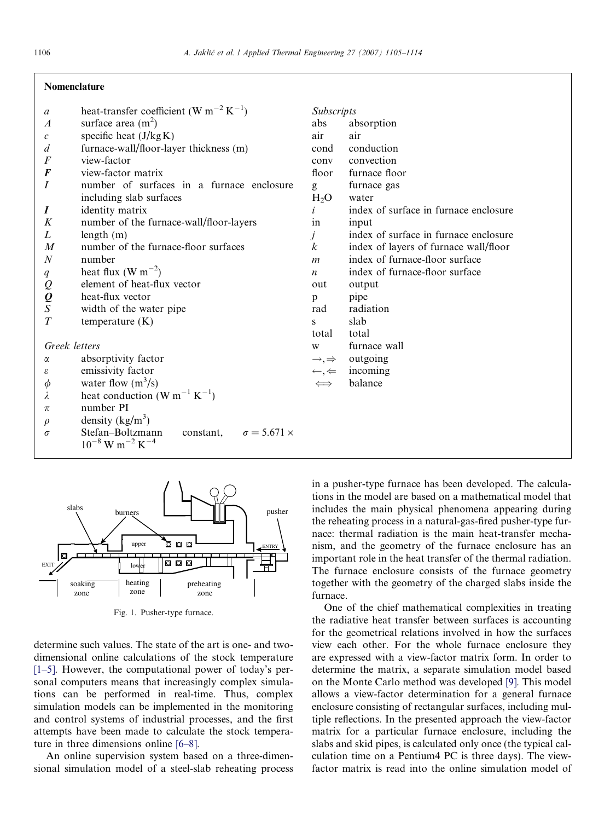<span id="page-1-0"></span>

| <b>Nomenclature</b> |  |
|---------------------|--|
|---------------------|--|

| a                                                         | heat-transfer coefficient (W m <sup>-2</sup> K <sup>-1</sup> ) |                               | Subscripts                            |  |
|-----------------------------------------------------------|----------------------------------------------------------------|-------------------------------|---------------------------------------|--|
| $\boldsymbol{A}$                                          | surface area $(m2)$                                            | abs                           | absorption                            |  |
| $\mathcal{C}_{0}$                                         | specific heat $(J/kg K)$                                       |                               | air                                   |  |
| d                                                         | furnace-wall/floor-layer thickness (m)                         | cond                          | conduction                            |  |
| $\,F$                                                     | view-factor                                                    |                               | convection                            |  |
| F                                                         | view-factor matrix                                             |                               | furnace floor                         |  |
| Ι                                                         | number of surfaces in a furnace enclosure                      | g                             | furnace gas                           |  |
|                                                           | including slab surfaces                                        | $H_2O$                        | water                                 |  |
| I                                                         | identity matrix                                                |                               | index of surface in furnace enclosure |  |
| K                                                         | number of the furnace-wall/floor-layers                        |                               | input                                 |  |
| L                                                         | length $(m)$                                                   |                               | index of surface in furnace enclosure |  |
| $\boldsymbol{M}$                                          | number of the furnace-floor surfaces                           |                               | index of layers of furnace wall/floor |  |
| $\overline{N}$                                            | number                                                         |                               | index of furnace-floor surface        |  |
| q                                                         | heat flux (W m <sup><math>-2</math></sup> )                    | $\boldsymbol{n}$              | index of furnace-floor surface        |  |
|                                                           | element of heat-flux vector                                    |                               | output                                |  |
|                                                           | $\displaystyle\mathop{\cal Q}_S\limits$<br>heat-flux vector    |                               | pipe                                  |  |
|                                                           | width of the water pipe                                        |                               | radiation                             |  |
| T                                                         | temperature $(K)$                                              |                               | slab                                  |  |
|                                                           |                                                                | total                         | total                                 |  |
| Greek letters                                             |                                                                | W                             | furnace wall                          |  |
| α                                                         | absorptivity factor                                            | $\rightarrow$ , $\Rightarrow$ | outgoing                              |  |
| $\epsilon$                                                | emissivity factor                                              | $\leftarrow, \Leftarrow$      | incoming                              |  |
| φ                                                         | water flow $(m^3/s)$                                           | $\iff$                        | balance                               |  |
| heat conduction (W m <sup>-1</sup> K <sup>-1</sup> )<br>λ |                                                                |                               |                                       |  |
| π                                                         | number PI                                                      |                               |                                       |  |
| $\rho$                                                    | density $(kg/m^3)$                                             |                               |                                       |  |
| $\sigma$                                                  | Stefan-Boltzmann<br>$\sigma = 5.671 \times$<br>constant,       |                               |                                       |  |
|                                                           | $10^{-8}$ W m <sup>-2</sup> K <sup>-4</sup>                    |                               |                                       |  |
|                                                           |                                                                |                               |                                       |  |



Fig. 1. Pusher-type furnace.

determine such values. The state of the art is one- and twodimensional online calculations of the stock temperature [\[1–5\]](#page--1-0). However, the computational power of today's personal computers means that increasingly complex simulations can be performed in real-time. Thus, complex simulation models can be implemented in the monitoring and control systems of industrial processes, and the first attempts have been made to calculate the stock temperature in three dimensions online [\[6–8\]](#page--1-0).

An online supervision system based on a three-dimensional simulation model of a steel-slab reheating process in a pusher-type furnace has been developed. The calculations in the model are based on a mathematical model that includes the main physical phenomena appearing during the reheating process in a natural-gas-fired pusher-type furnace: thermal radiation is the main heat-transfer mechanism, and the geometry of the furnace enclosure has an important role in the heat transfer of the thermal radiation. The furnace enclosure consists of the furnace geometry together with the geometry of the charged slabs inside the furnace.

One of the chief mathematical complexities in treating the radiative heat transfer between surfaces is accounting for the geometrical relations involved in how the surfaces view each other. For the whole furnace enclosure they are expressed with a view-factor matrix form. In order to determine the matrix, a separate simulation model based on the Monte Carlo method was developed [\[9\].](#page--1-0) This model allows a view-factor determination for a general furnace enclosure consisting of rectangular surfaces, including multiple reflections. In the presented approach the view-factor matrix for a particular furnace enclosure, including the slabs and skid pipes, is calculated only once (the typical calculation time on a Pentium4 PC is three days). The viewfactor matrix is read into the online simulation model of